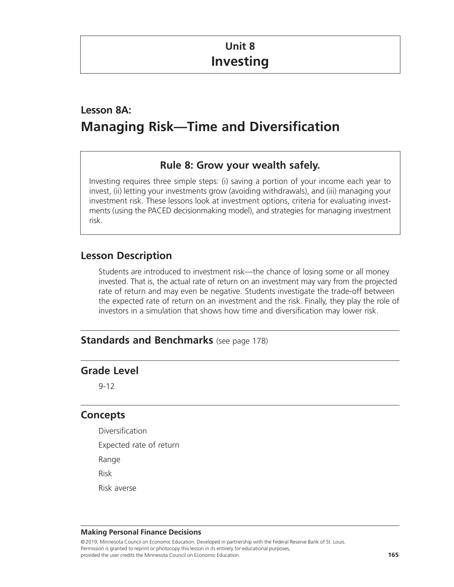# **Unit 8 Investing**

# **Lesson 8A: Managing Risk—Time and Diversification**

## **Rule 8: Grow your wealth safely.**

Investing requires three simple steps: (i) saving a portion of your income each year to invest, (ii) letting your investments grow (avoiding withdrawals), and (iii) managing your investment risk. These lessons look at investment options, criteria for evaluating investments (using the PACED decisionmaking model), and strategies for managing investment risk.

## **Lesson Description**

Students are introduced to investment risk—the chance of losing some or all money invested. That is, the actual rate of return on an investment may vary from the projected rate of return and may even be negative. Students investigate the trade-off between the expected rate of return on an investment and the risk. Finally, they play the role of investors in a simulation that shows how time and diversification may lower risk.

## **Standards and Benchmarks** (see page 178)

## **Grade Level**

9-12

## **Concepts**

- Diversification
- Expected rate of return
- Range
- Risk
- Risk averse

### **Making Personal Finance Decisions**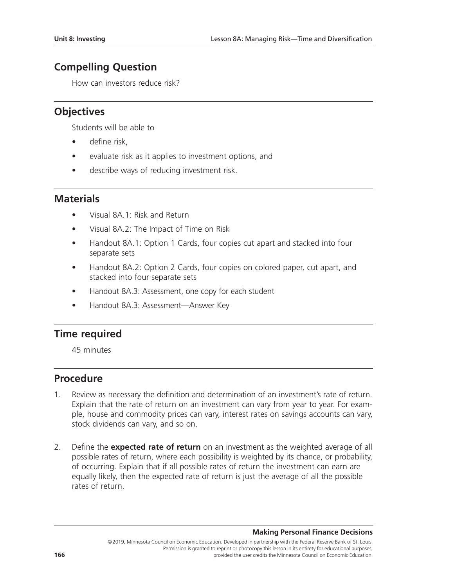## **Compelling Question**

How can investors reduce risk?

## **Objectives**

Students will be able to

- define risk.
- evaluate risk as it applies to investment options, and
- describe ways of reducing investment risk.

## **Materials**

- Visual 8A.1: Risk and Return
- Visual 8A.2: The Impact of Time on Risk
- Handout 8A.1: Option 1 Cards, four copies cut apart and stacked into four separate sets
- Handout 8A.2: Option 2 Cards, four copies on colored paper, cut apart, and stacked into four separate sets
- Handout 8A.3: Assessment, one copy for each student
- Handout 8A.3: Assessment—Answer Key

## **Time required**

45 minutes

### **Procedure**

- 1. Review as necessary the definition and determination of an investment's rate of return. Explain that the rate of return on an investment can vary from year to year. For example, house and commodity prices can vary, interest rates on savings accounts can vary, stock dividends can vary, and so on.
- 2. Define the **expected rate of return** on an investment as the weighted average of all possible rates of return, where each possibility is weighted by its chance, or probability, of occurring. Explain that if all possible rates of return the investment can earn are equally likely, then the expected rate of return is just the average of all the possible rates of return.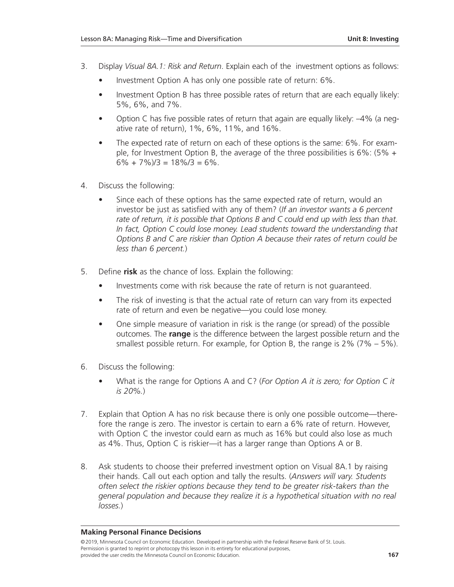- 3. Display *Visual 8A.1: Risk and Return*. Explain each of the investment options as follows:
	- Investment Option A has only one possible rate of return: 6%.
	- Investment Option B has three possible rates of return that are each equally likely: 5%, 6%, and 7%.
	- Option C has five possible rates of return that again are equally likely:  $-4\%$  (a negative rate of return), 1%, 6%, 11%, and 16%.
	- The expected rate of return on each of these options is the same: 6%. For example, for Investment Option B, the average of the three possibilities is  $6\%$ : (5% +  $6\% + 7\%$ )/3 = 18%/3 = 6%.
- 4. Discuss the following:
	- Since each of these options has the same expected rate of return, would an investor be just as satisfied with any of them? (*If an investor wants a 6 percent rate of return, it is possible that Options B and C could end up with less than that. In fact, Option C could lose money. Lead students toward the understanding that Options B and C are riskier than Option A because their rates of return could be less than 6 percent.*)
- 5. Define **risk** as the chance of loss. Explain the following:
	- Investments come with risk because the rate of return is not quaranteed.
	- The risk of investing is that the actual rate of return can vary from its expected rate of return and even be negative—you could lose money.
	- One simple measure of variation in risk is the range (or spread) of the possible outcomes. The **range** is the difference between the largest possible return and the smallest possible return. For example, for Option B, the range is 2% (7% – 5%).
- 6. Discuss the following:
	- What is the range for Options A and C? (*For Option A it is zero; for Option C it is 20%.*)
- 7. Explain that Option A has no risk because there is only one possible outcome—therefore the range is zero. The investor is certain to earn a 6% rate of return. However, with Option C the investor could earn as much as 16% but could also lose as much as 4%. Thus, Option C is riskier—it has a larger range than Options A or B.
- 8. Ask students to choose their preferred investment option on Visual 8A.1 by raising their hands. Call out each option and tally the results. (*Answers will vary. Students often select the riskier options because they tend to be greater risk-takers than the general population and because they realize it is a hypothetical situation with no real losses.*)

### **Making Personal Finance Decisions**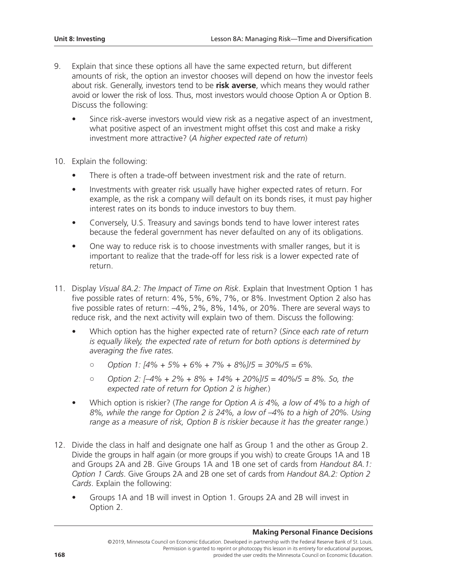- 9. Explain that since these options all have the same expected return, but different amounts of risk, the option an investor chooses will depend on how the investor feels about risk. Generally, investors tend to be **risk averse**, which means they would rather avoid or lower the risk of loss. Thus, most investors would choose Option A or Option B. Discuss the following:
	- Since risk-averse investors would view risk as a negative aspect of an investment, what positive aspect of an investment might offset this cost and make a risky investment more attractive? (*A higher expected rate of return*)
- 10. Explain the following:
	- There is often a trade-off between investment risk and the rate of return.
	- Investments with greater risk usually have higher expected rates of return. For example, as the risk a company will default on its bonds rises, it must pay higher interest rates on its bonds to induce investors to buy them.
	- Conversely, U.S. Treasury and savings bonds tend to have lower interest rates because the federal government has never defaulted on any of its obligations.
	- One way to reduce risk is to choose investments with smaller ranges, but it is important to realize that the trade-off for less risk is a lower expected rate of return.
- 11. Display *Visual 8A.2: The Impact of Time on Risk*. Explain that Investment Option 1 has five possible rates of return: 4%, 5%, 6%, 7%, or 8%. Investment Option 2 also has five possible rates of return: –4%, 2%, 8%, 14%, or 20%. There are several ways to reduce risk, and the next activity will explain two of them. Discuss the following:
	- Which option has the higher expected rate of return? (*Since each rate of return is equally likely, the expected rate of return for both options is determined by averaging the five rates.*
		- *Option 1: [4% + 5% + 6% + 7% + 8%]/5 = 30%/5 = 6%.*
		- *Option 2: [–4% + 2% + 8% + 14% + 20%]/5 = 40%/5 = 8%. So, the expected rate of return for Option 2 is higher.*)
	- Which option is riskier? (*The range for Option A is 4%, a low of 4% to a high of 8%, while the range for Option 2 is 24%, a low of –4% to a high of 20%. Using range as a measure of risk, Option B is riskier because it has the greater range.*)
- 12. Divide the class in half and designate one half as Group 1 and the other as Group 2. Divide the groups in half again (or more groups if you wish) to create Groups 1A and 1B and Groups 2A and 2B. Give Groups 1A and 1B one set of cards from *Handout 8A.1: Option 1 Cards*. Give Groups 2A and 2B one set of cards from *Handout 8A.2: Option 2 Cards*. Explain the following:
	- Groups 1A and 1B will invest in Option 1. Groups 2A and 2B will invest in Option 2.

### **Making Personal Finance Decisions**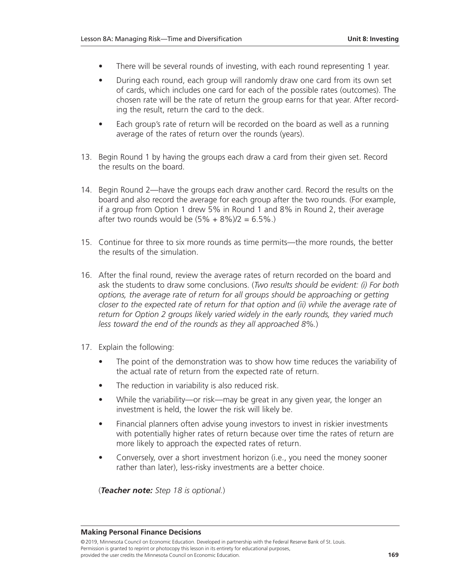- There will be several rounds of investing, with each round representing 1 year.
- During each round, each group will randomly draw one card from its own set of cards, which includes one card for each of the possible rates (outcomes). The chosen rate will be the rate of return the group earns for that year. After recording the result, return the card to the deck.
- Each group's rate of return will be recorded on the board as well as a running average of the rates of return over the rounds (years).
- 13. Begin Round 1 by having the groups each draw a card from their given set. Record the results on the board.
- 14. Begin Round 2—have the groups each draw another card. Record the results on the board and also record the average for each group after the two rounds. (For example, if a group from Option 1 drew 5% in Round 1 and 8% in Round 2, their average after two rounds would be  $(5% + 8%)/2 = 6.5%$ .
- 15. Continue for three to six more rounds as time permits—the more rounds, the better the results of the simulation.
- 16. After the final round, review the average rates of return recorded on the board and ask the students to draw some conclusions. (*Two results should be evident: (i) For both options, the average rate of return for all groups should be approaching or getting closer to the expected rate of return for that option and (ii) while the average rate of return for Option 2 groups likely varied widely in the early rounds, they varied much less toward the end of the rounds as they all approached 8%.*)
- 17. Explain the following:
	- The point of the demonstration was to show how time reduces the variability of the actual rate of return from the expected rate of return.
	- The reduction in variability is also reduced risk.
	- While the variability—or risk—may be great in any given year, the longer an investment is held, the lower the risk will likely be.
	- Financial planners often advise young investors to invest in riskier investments with potentially higher rates of return because over time the rates of return are more likely to approach the expected rates of return.
	- Conversely, over a short investment horizon (i.e., you need the money sooner rather than later), less-risky investments are a better choice.

(*Teacher note: Step 18 is optional.*)

#### **Making Personal Finance Decisions**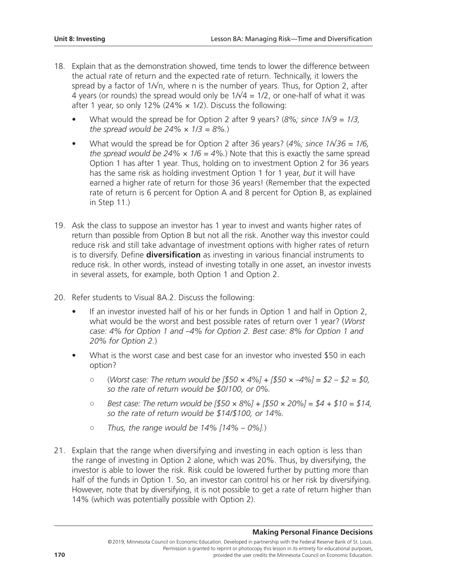- 18. Explain that as the demonstration showed, time tends to lower the difference between the actual rate of return and the expected rate of return. Technically, it lowers the spread by a factor of  $1/\sqrt{n}$ , where n is the number of years. Thus, for Option 2, after 4 years (or rounds) the spread would only be  $1/\sqrt{4} = 1/2$ , or one-half of what it was after 1 year, so only 12% (24%  $\times$  1/2). Discuss the following:
	- What would the spread be for Option 2 after 9 years? (*8%; since 1/*√*9 = 1/3, the spread would be*  $24\% \times 1/3 = 8\%$ .
	- What would the spread be for Option 2 after 36 years? ( $4\%$ ; *since*  $1/\sqrt{36} = 1/6$ , *the spread would be*  $24\% \times 1/6 = 4\%$ . Note that this is exactly the same spread Option 1 has after 1 year. Thus, holding on to investment Option 2 for 36 years has the same risk as holding investment Option 1 for 1 year, *but* it will have earned a higher rate of return for those 36 years! (Remember that the expected rate of return is 6 percent for Option A and 8 percent for Option B, as explained in Step 11.)
- 19. Ask the class to suppose an investor has 1 year to invest and wants higher rates of return than possible from Option B but not all the risk. Another way this investor could reduce risk and still take advantage of investment options with higher rates of return is to diversify. Define **diversification** as investing in various financial instruments to reduce risk. In other words, instead of investing totally in one asset, an investor invests in several assets, for example, both Option 1 and Option 2.
- 20. Refer students to Visual 8A.2. Discuss the following:
	- If an investor invested half of his or her funds in Option 1 and half in Option 2, what would be the worst and best possible rates of return over 1 year? (*Worst case: 4% for Option 1 and –4% for Option 2. Best case: 8% for Option 1 and 20% for Option 2.*)
	- What is the worst case and best case for an investor who invested \$50 in each option?
		- (*Worst case: The return would be [\$50 × 4%] + [\$50 × –4%] = \$2 – \$2 = \$0, so the rate of return would be \$0/100, or 0%.*
		- *Best case: The return would be [\$50 × 8%] + [\$50 × 20%] = \$4 + \$10 = \$14, so the rate of return would be \$14/\$100, or 14%.*
		- *Thus, the range would be 14% [14% – 0%].*)
- 21. Explain that the range when diversifying and investing in each option is less than the range of investing in Option 2 alone, which was 20%. Thus, by diversifying, the investor is able to lower the risk. Risk could be lowered further by putting more than half of the funds in Option 1. So, an investor can control his or her risk by diversifying. However, note that by diversifying, it is not possible to get a rate of return higher than 14% (which was potentially possible with Option 2).

#### **Making Personal Finance Decisions**

<sup>©2019,</sup> Minnesota Council on Economic Education. Developed in partnership with the Federal Reserve Bank of St. Louis. Permission is granted to reprint or photocopy this lesson in its entirety for educational purposes, **170 provided the user credits the Minnesota Council on Economic Education.**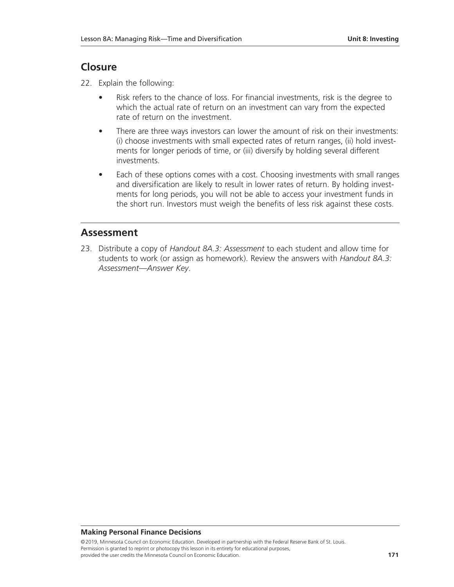## **Closure**

- 22. Explain the following:
	- Risk refers to the chance of loss. For financial investments, risk is the degree to which the actual rate of return on an investment can vary from the expected rate of return on the investment.
	- There are three ways investors can lower the amount of risk on their investments: (i) choose investments with small expected rates of return ranges, (ii) hold investments for longer periods of time, or (iii) diversify by holding several different investments.
	- Each of these options comes with a cost. Choosing investments with small ranges and diversification are likely to result in lower rates of return. By holding investments for long periods, you will not be able to access your investment funds in the short run. Investors must weigh the benefits of less risk against these costs.

### **Assessment**

23. Distribute a copy of *Handout 8A.3: Assessment* to each student and allow time for students to work (or assign as homework). Review the answers with *Handout 8A.3: Assessment—Answer Key*.

### **Making Personal Finance Decisions**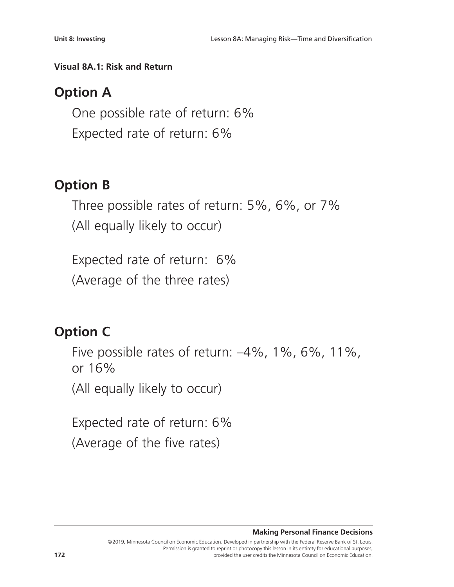## **Visual 8A.1: Risk and Return**

# **Option A**

One possible rate of return: 6% Expected rate of return: 6%

# **Option B**

Three possible rates of return: 5%, 6%, or 7% (All equally likely to occur)

Expected rate of return: 6% (Average of the three rates)

# **Option C**

Five possible rates of return: –4%, 1%, 6%, 11%, or 16%

(All equally likely to occur)

Expected rate of return: 6% (Average of the five rates)

**Making Personal Finance Decisions**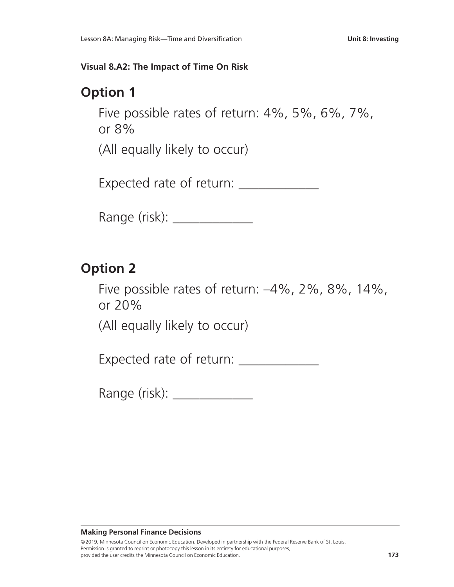### **Visual 8.A2: The Impact of Time On Risk**

# **Option 1**

Five possible rates of return: 4%, 5%, 6%, 7%, or 8%

(All equally likely to occur)

Expected rate of return: \_\_\_\_\_\_\_\_\_\_\_\_

Range (risk): \_\_\_\_\_\_\_\_\_\_\_\_\_\_\_

# **Option 2**

Five possible rates of return: –4%, 2%, 8%, 14%, or 20%

(All equally likely to occur)

Expected rate of return: \_\_\_\_\_\_\_\_\_\_\_\_

Range (risk): \_\_\_\_\_\_\_\_\_\_\_\_\_\_\_

### **Making Personal Finance Decisions**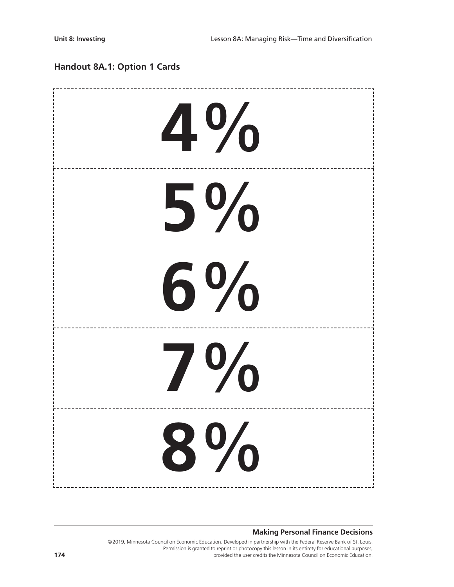## **Handout 8A.1: Option 1 Cards**

| 4%      |
|---------|
| $5\%$   |
| $6\%$   |
| $7\,\%$ |
| $8\%$   |

#### **Making Personal Finance Decisions**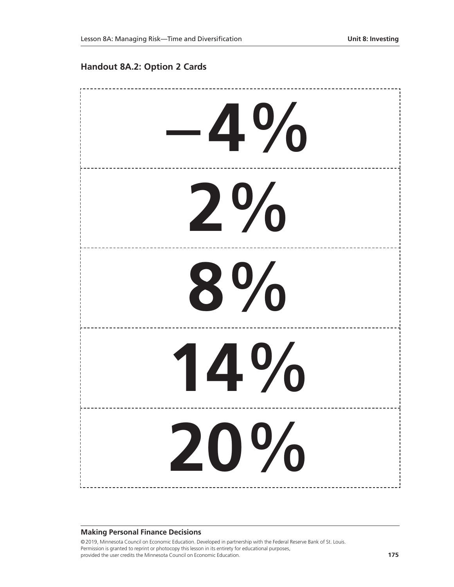### **Handout 8A.2: Option 2 Cards**



#### **Making Personal Finance Decisions**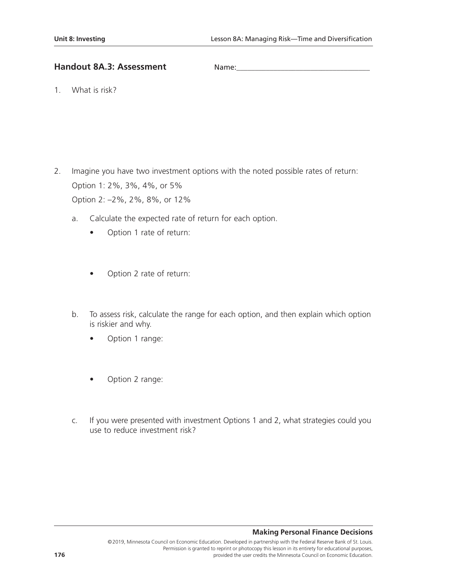### **Handout 8A.3: Assessment**

1. What is risk?

- 2. Imagine you have two investment options with the noted possible rates of return: Option 1: 2%, 3%, 4%, or 5% Option 2: –2%, 2%, 8%, or 12%
	- a. Calculate the expected rate of return for each option.
		- Option 1 rate of return:
		- Option 2 rate of return:
	- b. To assess risk, calculate the range for each option, and then explain which option is riskier and why.
		- Option 1 range:
		- Option 2 range:
	- c. If you were presented with investment Options 1 and 2, what strategies could you use to reduce investment risk?

### **Making Personal Finance Decisions**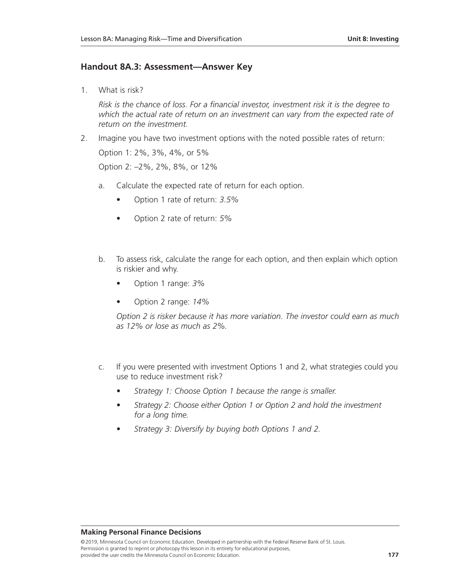### **Handout 8A.3: Assessment—Answer Key**

1. What is risk?

*Risk is the chance of loss. For a financial investor, investment risk it is the degree to which the actual rate of return on an investment can vary from the expected rate of return on the investment.*

- 2. Imagine you have two investment options with the noted possible rates of return: Option 1: 2%, 3%, 4%, or 5% Option 2: –2%, 2%, 8%, or 12%
	- a. Calculate the expected rate of return for each option.
		- Option 1 rate of return: *3.5%*
		- Option 2 rate of return: *5%*
	- b. To assess risk, calculate the range for each option, and then explain which option is riskier and why.
		- Option 1 range: *3%*
		- Option 2 range: *14%*

*Option 2 is risker because it has more variation. The investor could earn as much as 12% or lose as much as 2%.*

- c. If you were presented with investment Options 1 and 2, what strategies could you use to reduce investment risk?
	- *• Strategy 1: Choose Option 1 because the range is smaller.*
	- *• Strategy 2: Choose either Option 1 or Option 2 and hold the investment for a long time.*
	- *• Strategy 3: Diversify by buying both Options 1 and 2.*

#### **Making Personal Finance Decisions**